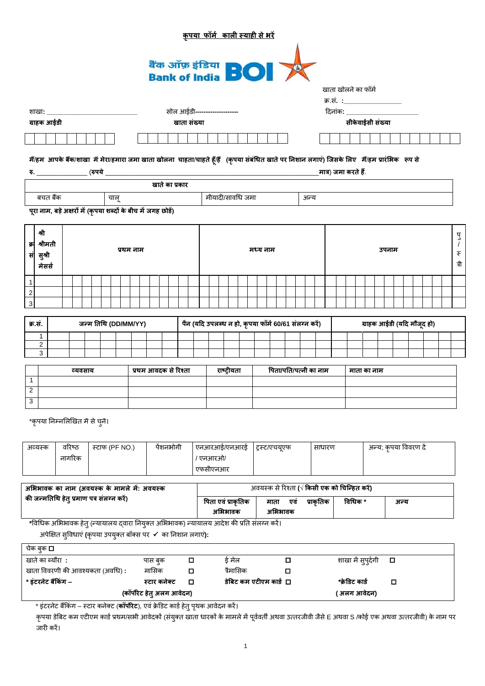|                                |                  |                                             |        |         |  |                |                      |         |                                                                                                                                                    |             |   | <u>कृपया फॉर्म काली स्याही से भरें</u>               |                    |           |                        |               |         |     |      |                       |                                              |                    |             |                            |  |  |                   |
|--------------------------------|------------------|---------------------------------------------|--------|---------|--|----------------|----------------------|---------|----------------------------------------------------------------------------------------------------------------------------------------------------|-------------|---|------------------------------------------------------|--------------------|-----------|------------------------|---------------|---------|-----|------|-----------------------|----------------------------------------------|--------------------|-------------|----------------------------|--|--|-------------------|
|                                |                  |                                             |        |         |  |                |                      |         | बैंक ऑफ़ इंडिया<br>Bank of India <b>BOI</b>                                                                                                        |             |   |                                                      |                    |           |                        |               |         |     |      |                       | खाता खोलने का फॉर्म                          |                    |             |                            |  |  |                   |
|                                |                  |                                             |        |         |  |                |                      |         |                                                                                                                                                    |             |   |                                                      |                    |           |                        |               |         |     |      |                       | क्र.सं. :____________________                |                    |             |                            |  |  |                   |
|                                |                  |                                             |        |         |  |                |                      |         |                                                                                                                                                    |             |   | सोल आईडी--------------------                         |                    |           |                        |               |         |     |      |                       | दिनांक: ______________                       |                    |             |                            |  |  |                   |
|                                |                  | ग्राहक आईडी                                 |        |         |  |                |                      |         |                                                                                                                                                    | खाता संख्या |   |                                                      |                    |           |                        |               |         |     |      |                       |                                              | सीकेवाईसी संख्या   |             |                            |  |  |                   |
|                                |                  |                                             |        |         |  |                |                      |         |                                                                                                                                                    |             |   |                                                      |                    |           |                        |               |         |     |      |                       |                                              |                    |             |                            |  |  |                   |
|                                |                  |                                             |        |         |  |                |                      |         | मैं/हम आपके बैंक/शाखा में मेरा/हमारा जमा खाता खोलना  चाहता/चाहते हूँ/हैं   (कृपया संबंधित खाते पर निशान लगाएं) जिसके लिए  मैं/हम प्रारंभिक  रूप से |             |   |                                                      |                    |           |                        |               |         |     |      |                       |                                              |                    |             |                            |  |  |                   |
|                                |                  | रु. __________________(रुपये __             |        |         |  |                |                      |         |                                                                                                                                                    |             |   |                                                      |                    |           |                        |               |         |     |      |                       | _मात्र) जमा करते हैं.                        |                    |             |                            |  |  |                   |
|                                |                  |                                             |        |         |  |                |                      |         | खाते का प्रकार                                                                                                                                     |             |   |                                                      |                    |           |                        |               |         |     |      |                       |                                              |                    |             |                            |  |  |                   |
|                                |                  | बचत बैंक                                    |        |         |  | चालू           |                      |         |                                                                                                                                                    |             |   |                                                      |                    |           | मीयादी/सावधि जमा       |               |         |     | अन्य |                       |                                              |                    |             |                            |  |  |                   |
|                                |                  |                                             |        |         |  |                |                      |         |                                                                                                                                                    |             |   |                                                      |                    |           |                        |               |         |     |      |                       |                                              |                    |             |                            |  |  |                   |
|                                |                  |                                             |        |         |  |                |                      |         | पूरा नाम, बड़े अक्षरों में (कृपया शब्दों के बीच में जगह छोड़ें)                                                                                    |             |   |                                                      |                    |           |                        |               |         |     |      |                       |                                              |                    |             |                            |  |  |                   |
|                                | श्री             |                                             |        |         |  |                |                      |         |                                                                                                                                                    |             |   |                                                      |                    |           |                        |               |         |     |      |                       |                                              |                    |             |                            |  |  |                   |
| क्र                            | श्रीमती          |                                             |        |         |  |                |                      |         |                                                                                                                                                    |             |   |                                                      |                    |           |                        |               |         |     |      |                       |                                              |                    |             |                            |  |  | $\frac{d}{d}$     |
| सं                             | सुश्री           |                                             |        |         |  |                | प्रथम नाम            |         |                                                                                                                                                    |             |   |                                                      |                    |           |                        | मध्य नाम      |         |     |      |                       |                                              |                    |             | उपनाम                      |  |  | $\overline{\tau}$ |
|                                | मेसर्स           |                                             |        |         |  |                |                      |         |                                                                                                                                                    |             |   |                                                      |                    |           |                        |               |         |     |      |                       |                                              |                    |             |                            |  |  | त्री              |
|                                |                  |                                             |        |         |  |                |                      |         |                                                                                                                                                    |             |   |                                                      |                    |           |                        |               |         |     |      |                       |                                              |                    |             |                            |  |  |                   |
| $\mathbf{1}$<br>$\overline{a}$ |                  |                                             |        |         |  |                |                      |         |                                                                                                                                                    |             |   |                                                      |                    |           |                        |               |         |     |      |                       |                                              |                    |             |                            |  |  |                   |
| $\sqrt{3}$                     |                  |                                             |        |         |  |                |                      |         |                                                                                                                                                    |             |   |                                                      |                    |           |                        |               |         |     |      |                       |                                              |                    |             |                            |  |  |                   |
|                                |                  |                                             |        |         |  |                |                      |         |                                                                                                                                                    |             |   |                                                      |                    |           |                        |               |         |     |      |                       |                                              |                    |             |                            |  |  |                   |
| क्र.स.                         |                  |                                             |        |         |  |                | जन्म तिथि (DD/MM/YY) |         |                                                                                                                                                    |             |   | पैन (यदि उपलब्ध न हो, कृपया फॉर्म 60/61 संलग्न करें) |                    |           |                        |               |         |     |      |                       |                                              |                    |             | ग्राहक आईडी (यदि मौजूद हो) |  |  |                   |
|                                | 1                |                                             |        |         |  |                |                      |         |                                                                                                                                                    |             |   |                                                      |                    |           |                        |               |         |     |      |                       |                                              |                    |             |                            |  |  |                   |
|                                | 2<br>3           |                                             |        |         |  |                |                      |         |                                                                                                                                                    |             |   |                                                      |                    |           |                        |               |         |     |      |                       |                                              |                    |             |                            |  |  |                   |
|                                |                  |                                             |        |         |  |                |                      |         |                                                                                                                                                    |             |   |                                                      |                    |           |                        |               |         |     |      |                       |                                              |                    |             |                            |  |  |                   |
| $\mathbf{1}$                   |                  |                                             |        | व्यवसाय |  |                |                      |         | प्रथम आवदक से रिश्ता                                                                                                                               |             |   |                                                      | राष्ट्रीयता        |           |                        |               |         |     |      | पिता/पति/पत्नी का नाम |                                              |                    | माता का नाम |                            |  |  |                   |
| $\overline{2}$                 |                  |                                             |        |         |  |                |                      |         |                                                                                                                                                    |             |   |                                                      |                    |           |                        |               |         |     |      |                       |                                              |                    |             |                            |  |  |                   |
| $\overline{3}$                 |                  |                                             |        |         |  |                |                      |         |                                                                                                                                                    |             |   |                                                      |                    |           |                        |               |         |     |      |                       |                                              |                    |             |                            |  |  |                   |
|                                |                  |                                             |        |         |  |                |                      |         |                                                                                                                                                    |             |   |                                                      |                    |           |                        |               |         |     |      |                       |                                              |                    |             |                            |  |  |                   |
|                                |                  | *कृपया निम्नलिखित में से चुनें।             |        |         |  |                |                      |         |                                                                                                                                                    |             |   |                                                      |                    |           |                        |               |         |     |      |                       |                                              |                    |             |                            |  |  |                   |
|                                | अव्यस्क          |                                             | वरिष्ठ |         |  | स्टाफ (PF NO.) |                      |         | पेंशनभोगी                                                                                                                                          |             |   | एनआरआई/एनआरई                                         |                    |           |                        | ट्रस्ट/एचयूएफ |         |     |      | साधारण                |                                              |                    |             | अन्य; कृपया विवरण दें      |  |  |                   |
|                                |                  |                                             | नागरिक |         |  |                |                      |         |                                                                                                                                                    |             |   | / एनआरओ/                                             |                    |           |                        |               |         |     |      |                       |                                              |                    |             |                            |  |  |                   |
|                                |                  |                                             |        |         |  |                |                      |         |                                                                                                                                                    |             |   | एफसीएनआर                                             |                    |           |                        |               |         |     |      |                       |                                              |                    |             |                            |  |  |                   |
|                                |                  |                                             |        |         |  |                |                      |         |                                                                                                                                                    |             |   |                                                      |                    |           |                        |               |         |     |      |                       |                                              |                    |             |                            |  |  |                   |
|                                |                  | अभिभावक का नाम (अवयस्क के मामले में: अवयस्क |        |         |  |                |                      |         |                                                                                                                                                    |             |   |                                                      |                    |           |                        |               |         |     |      |                       | अवयस्क से रिश्ता (√ किसी एक को चिन्हित करें) |                    |             |                            |  |  |                   |
|                                |                  | की जन्मतिथि हेतु प्रमाण पत्र संलग्न करें)   |        |         |  |                |                      |         |                                                                                                                                                    |             |   |                                                      | पिता एवं प्राकृतिक |           |                        | माता          |         | एवं |      | प्राकृतिक             |                                              | विधिक *            |             | अन्य                       |  |  |                   |
|                                |                  |                                             |        |         |  |                |                      |         |                                                                                                                                                    |             |   |                                                      | अभिभावक            |           |                        |               | अभिभावक |     |      |                       |                                              |                    |             |                            |  |  |                   |
|                                |                  |                                             |        |         |  |                |                      |         | *विधिक अभिभावक हेतु (न्यायालय द्वारा नियुक्त अभिभावक) न्यायालय आदेश की प्रति संलग्न करें।                                                          |             |   |                                                      |                    |           |                        |               |         |     |      |                       |                                              |                    |             |                            |  |  |                   |
|                                |                  |                                             |        |         |  |                |                      |         | अपेक्षित सुविधाएं (कृपया उपयुक्त बॉक्स पर √ का निशान लगाएं):                                                                                       |             |   |                                                      |                    |           |                        |               |         |     |      |                       |                                              |                    |             |                            |  |  |                   |
|                                | चेक बुक <b>□</b> |                                             |        |         |  |                |                      |         |                                                                                                                                                    |             |   |                                                      |                    |           |                        |               |         |     |      |                       |                                              |                    |             |                            |  |  |                   |
|                                |                  | खाते का ब्यौरा :                            |        |         |  |                |                      | पास बुक |                                                                                                                                                    |             | о |                                                      |                    | ई मेल     |                        |               |         | О   |      |                       |                                              | शाखा में सुपुर्दगी |             | О                          |  |  |                   |
|                                |                  | खाता विवरणी की आवश्यकता (अवधि):             |        |         |  |                |                      | मासिक   |                                                                                                                                                    |             | О |                                                      |                    | त्रैमासिक |                        |               |         | ◻   |      |                       |                                              |                    |             |                            |  |  |                   |
|                                |                  | * इंटरनेट बैंकिंग –                         |        |         |  |                |                      |         | स्टार कनेक्ट                                                                                                                                       |             | О |                                                      |                    |           | डेबिट कम एटीएम कार्ड □ |               |         |     |      |                       |                                              | *क्रेडिट कार्ड     |             | о                          |  |  |                   |
|                                |                  |                                             |        |         |  |                |                      |         | (कॉर्पोरेट हेतु अलग आवेदन)                                                                                                                         |             |   |                                                      |                    |           |                        |               |         |     |      |                       |                                              | ( अलग आवेदन)       |             |                            |  |  |                   |

\* इंटरनेट बैंकिग – स्टार कनेक्ट (**कॉर्पोरेट**), एवं क्रेडिट कार्ड हेतु पृथक आवेदन करें।

कृपया डेबिट कम एटीएम कार्ड प्रथम/सभी आवेदकों (संयुक्त खाता धारकों के मामले में पूर्ववर्ती अथवा उत्रिय जिले पुर<br>कृपया डेबिट कम एटीएम कार्ड प्रथम/सभी आवेदकों (संयुक्त खाता धारकों के मामले में पूर्ववर्ती अथवा जिलेबों पिके अथ जारी करें।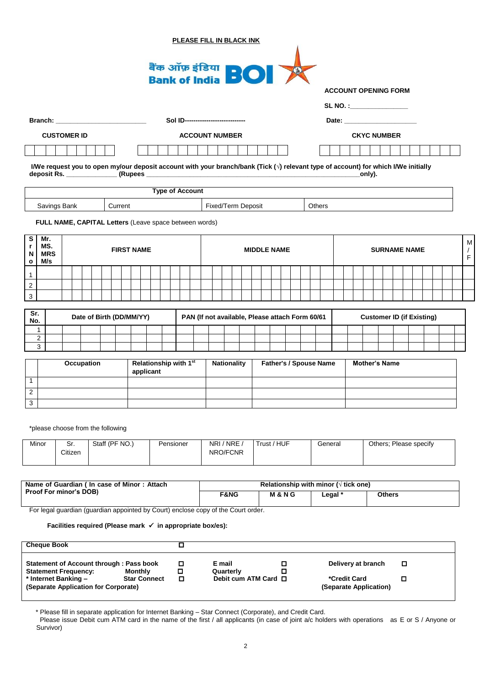|                                           |                     |                                                                                                                                                                                                                                |                |            |                          |                   |                                    |  |  |           |                        | <b>PLEASE FILL IN BLACK INK</b>                 |                    |  |                                                |                 |  |         |  |                                                          |                                  |  |  |  |  |                                   |
|-------------------------------------------|---------------------|--------------------------------------------------------------------------------------------------------------------------------------------------------------------------------------------------------------------------------|----------------|------------|--------------------------|-------------------|------------------------------------|--|--|-----------|------------------------|-------------------------------------------------|--------------------|--|------------------------------------------------|-----------------|--|---------|--|----------------------------------------------------------|----------------------------------|--|--|--|--|-----------------------------------|
|                                           |                     |                                                                                                                                                                                                                                |                |            |                          |                   |                                    |  |  |           |                        | बैंक ऑफ़ इंडिया<br>Bank of India <b>BOI</b>     |                    |  |                                                |                 |  |         |  | <b>ACCOUNT OPENING FORM</b><br>SL NO. :_________________ |                                  |  |  |  |  |                                   |
|                                           |                     | Branch: National Contract of the Contract of the Contract of the Contract of the Contract of the Contract of the Contract of the Contract of the Contract of the Contract of the Contract of the Contract of the Contract of t |                |            |                          |                   |                                    |  |  |           |                        | Sol ID----------------------------              |                    |  |                                                |                 |  |         |  |                                                          |                                  |  |  |  |  |                                   |
|                                           |                     |                                                                                                                                                                                                                                |                |            |                          |                   |                                    |  |  |           |                        |                                                 |                    |  |                                                |                 |  |         |  |                                                          |                                  |  |  |  |  |                                   |
|                                           |                     | <b>CUSTOMER ID</b>                                                                                                                                                                                                             |                |            |                          |                   |                                    |  |  |           |                        | <b>ACCOUNT NUMBER</b>                           |                    |  |                                                |                 |  |         |  | <b>CKYC NUMBER</b>                                       |                                  |  |  |  |  |                                   |
|                                           |                     | I/We request you to open my/our deposit account with your branch/bank (Tick ( $\sqrt{ }$ ) relevant type of account) for which I/We initially                                                                                  |                |            |                          |                   |                                    |  |  |           |                        |                                                 |                    |  |                                                |                 |  |         |  | _only).                                                  |                                  |  |  |  |  |                                   |
|                                           |                     |                                                                                                                                                                                                                                |                |            |                          |                   |                                    |  |  |           | <b>Type of Account</b> |                                                 |                    |  |                                                |                 |  |         |  |                                                          |                                  |  |  |  |  |                                   |
|                                           |                     | Savings Bank                                                                                                                                                                                                                   |                |            |                          | Current           |                                    |  |  |           |                        | <b>Fixed/Term Deposit</b>                       |                    |  |                                                |                 |  | Others  |  |                                                          |                                  |  |  |  |  |                                   |
|                                           |                     | FULL NAME, CAPITAL Letters (Leave space between words)                                                                                                                                                                         |                |            |                          |                   |                                    |  |  |           |                        |                                                 |                    |  |                                                |                 |  |         |  |                                                          |                                  |  |  |  |  |                                   |
| S<br>r<br>N<br>$\mathbf{o}$               | Mr.                 | MS.<br><b>MRS</b><br>M/s                                                                                                                                                                                                       |                |            |                          | <b>FIRST NAME</b> |                                    |  |  |           |                        |                                                 |                    |  | <b>MIDDLE NAME</b>                             |                 |  |         |  |                                                          | <b>SURNAME NAME</b>              |  |  |  |  | м<br>$\sqrt{2}$<br>$\overline{F}$ |
| $\mathbf{1}$                              |                     |                                                                                                                                                                                                                                |                |            |                          |                   |                                    |  |  |           |                        |                                                 |                    |  |                                                |                 |  |         |  |                                                          |                                  |  |  |  |  |                                   |
| $\overline{2}$                            |                     |                                                                                                                                                                                                                                |                |            |                          |                   |                                    |  |  |           |                        |                                                 |                    |  |                                                |                 |  |         |  |                                                          |                                  |  |  |  |  |                                   |
| $\mathbf{3}$                              |                     |                                                                                                                                                                                                                                |                |            |                          |                   |                                    |  |  |           |                        |                                                 |                    |  |                                                |                 |  |         |  |                                                          |                                  |  |  |  |  |                                   |
| Sr.<br>No.                                |                     |                                                                                                                                                                                                                                |                |            | Date of Birth (DD/MM/YY) |                   |                                    |  |  |           |                        | PAN (If not available, Please attach Form 60/61 |                    |  |                                                |                 |  |         |  |                                                          | <b>Customer ID (if Existing)</b> |  |  |  |  |                                   |
|                                           | $\mathbf{1}$        |                                                                                                                                                                                                                                |                |            |                          |                   |                                    |  |  |           |                        |                                                 |                    |  |                                                |                 |  |         |  |                                                          |                                  |  |  |  |  |                                   |
|                                           | $\overline{2}$<br>3 |                                                                                                                                                                                                                                |                |            |                          |                   |                                    |  |  |           |                        |                                                 |                    |  |                                                |                 |  |         |  |                                                          |                                  |  |  |  |  |                                   |
|                                           |                     |                                                                                                                                                                                                                                |                | Occupation |                          |                   | Relationship with 1st<br>applicant |  |  |           |                        |                                                 | <b>Nationality</b> |  | <b>Father's / Spouse Name</b>                  |                 |  |         |  | <b>Mother's Name</b>                                     |                                  |  |  |  |  |                                   |
| $\mathbf{1}$                              |                     |                                                                                                                                                                                                                                |                |            |                          |                   |                                    |  |  |           |                        |                                                 |                    |  |                                                |                 |  |         |  |                                                          |                                  |  |  |  |  |                                   |
| $\overline{\mathbf{c}}$<br>$\overline{3}$ |                     |                                                                                                                                                                                                                                |                |            |                          |                   |                                    |  |  |           |                        |                                                 |                    |  |                                                |                 |  |         |  |                                                          |                                  |  |  |  |  |                                   |
|                                           |                     | *please choose from the following                                                                                                                                                                                              |                |            |                          |                   |                                    |  |  |           |                        |                                                 |                    |  |                                                |                 |  |         |  |                                                          |                                  |  |  |  |  |                                   |
|                                           | Minor               |                                                                                                                                                                                                                                | Sr.<br>Citizen |            | Staff (PF NO.)           |                   |                                    |  |  | Pensioner |                        | NRI/NRE/<br>NRO/FCNR                            |                    |  | Trust / HUF                                    |                 |  | General |  |                                                          | Others; Please specify           |  |  |  |  |                                   |
|                                           |                     |                                                                                                                                                                                                                                |                |            |                          |                   |                                    |  |  |           |                        |                                                 |                    |  |                                                |                 |  |         |  |                                                          |                                  |  |  |  |  |                                   |
|                                           |                     | Name of Guardian ( In case of Minor : Attach<br>Proof For minor's DOB)                                                                                                                                                         |                |            |                          |                   |                                    |  |  |           |                        |                                                 | F&NG               |  | Relationship with minor ( $\sqrt{ }$ tick one) | <b>M&amp;NG</b> |  | Legal * |  |                                                          | <b>Others</b>                    |  |  |  |  |                                   |

For legal guardian (guardian appointed by Court) enclose copy of the Court order.

Facilities required (Please mark √ in appropriate box/es):

| <b>Cheque Book</b>                                                     |                     |        |                           |                                        |   |
|------------------------------------------------------------------------|---------------------|--------|---------------------------|----------------------------------------|---|
| Statement of Account through: Pass book<br><b>Statement Frequency:</b> | <b>Monthly</b>      | o<br>□ | E mail<br>Quarterly       | Delivery at branch                     | ◻ |
| * Internet Banking -<br>(Separate Application for Corporate)           | <b>Star Connect</b> | о      | Debit cum ATM Card $\Box$ | *Credit Card<br>(Separate Application) |   |

\* Please fill in separate application for Internet Banking – Star Connect (Corporate), and Credit Card.

Please issue Debit cum ATM card in the name of the first / all applicants (in case of joint a/c holders with operations as E or S / Anyone or Survivor)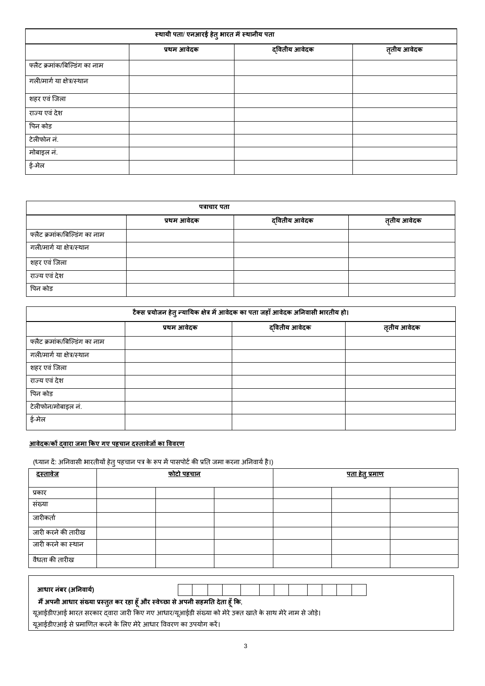|                               | स्थायी पता/ एनआरई हेतु भारत में स्थानीय पता |               |             |
|-------------------------------|---------------------------------------------|---------------|-------------|
|                               | प्रथम आवेदक                                 | द्वितीय आवेदक | तृतीय आवेदक |
| फ्लैट क्रमांक/बिल्डिंग का नाम |                                             |               |             |
| गली/मार्ग या क्षेत्र/स्थान    |                                             |               |             |
| शहर एवं जिला                  |                                             |               |             |
| राज्य एवं देश                 |                                             |               |             |
| पिन कोड                       |                                             |               |             |
| टेलीफोन नं.                   |                                             |               |             |
| मोबाइल नं.                    |                                             |               |             |
| ई-मेल                         |                                             |               |             |

|                               | पत्राचार पता |               |             |
|-------------------------------|--------------|---------------|-------------|
|                               | प्रथम आवेदक  | द्वितीय आवेदक | तृतीय आवेदक |
| फ्लैट क्रमांक/बिल्डिंग का नाम |              |               |             |
| गली/मार्ग या क्षेत्र/स्थान    |              |               |             |
| शहर एवं जिला                  |              |               |             |
| राज्य एवं देश                 |              |               |             |
| पिन कोड                       |              |               |             |

|                               |             | टैक्स प्रयोजन हेतु न्यायिक क्षेत्र में आवेदक का पता जहाँ आवेदक अनिवासी भारतीय हो। |             |
|-------------------------------|-------------|-----------------------------------------------------------------------------------|-------------|
|                               | प्रथम आवेदक | द्वितीय आवेदक                                                                     | तृतीय आवेदक |
| फ्लैट क्रमांक/बिल्डिंग का नाम |             |                                                                                   |             |
| गली/मार्ग या क्षेत्र/स्थान    |             |                                                                                   |             |
| शहर एवं जिला                  |             |                                                                                   |             |
| राज्य एवं देश                 |             |                                                                                   |             |
| पिन कोड                       |             |                                                                                   |             |
| टेलीफोन/मोबाइल नं.            |             |                                                                                   |             |
| ई-मेल                         |             |                                                                                   |             |

# **आवेदक**/**कों द्वारा जर्ा ककए गए पहचान दस्तावेजों का पववरण**

(ध्यान दें: अनिवासी भारतीयों हेतु पहचान पत्र के रूप में पासपोर्ट की प्रति जमा करना अनिवार्य है।)

| <u>दस्तावेज</u>    | <u>फोटो पहचान</u> |  | <u>पता हेतु प्रमाण</u> |  |
|--------------------|-------------------|--|------------------------|--|
| प्रकार             |                   |  |                        |  |
| संख्या             |                   |  |                        |  |
| जारीकर्ता          |                   |  |                        |  |
| जारी करने की तारीख |                   |  |                        |  |
| जारी करने का स्थान |                   |  |                        |  |
| वैधता की तारीख     |                   |  |                        |  |

| आधार नंबर (अनिवार्य)                                                            |                                                                                                        |
|---------------------------------------------------------------------------------|--------------------------------------------------------------------------------------------------------|
| मैं अपनी आधार संख्या प्रस्तुत कर रहा हूँ और स्वेच्छा से अपनी सहमति देता हूँ कि, |                                                                                                        |
|                                                                                 | यूआईडीएआई भारत सरकार द्वारा जारी किए गए आधार/यूआईडी संख्या को मेरे उक्त खाते के साथ मेरे नाम से जोड़े। |
| यूआईडीएआई से प्रमाणित करने के लिए मेरे आधार विवरण का उपयोग करें।                |                                                                                                        |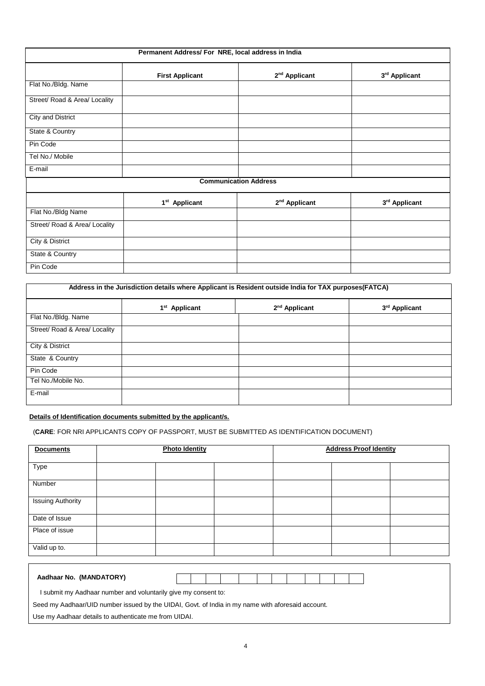|                               | Permanent Address/ For NRE, local address in India |                              |               |
|-------------------------------|----------------------------------------------------|------------------------------|---------------|
|                               | <b>First Applicant</b>                             | 2 <sup>nd</sup> Applicant    | 3rd Applicant |
| Flat No./Bldg. Name           |                                                    |                              |               |
| Street/ Road & Area/ Locality |                                                    |                              |               |
| <b>City and District</b>      |                                                    |                              |               |
| State & Country               |                                                    |                              |               |
| Pin Code                      |                                                    |                              |               |
| Tel No./ Mobile               |                                                    |                              |               |
| E-mail                        |                                                    |                              |               |
|                               |                                                    | <b>Communication Address</b> |               |
|                               | 1 <sup>st</sup> Applicant                          | $2nd$ Applicant              | 3rd Applicant |
| Flat No./Bldg Name            |                                                    |                              |               |
| Street/ Road & Area/ Locality |                                                    |                              |               |
| City & District               |                                                    |                              |               |
| State & Country               |                                                    |                              |               |
| Pin Code                      |                                                    |                              |               |

|                               |                           | Address in the Jurisdiction details where Applicant is Resident outside India for TAX purposes(FATCA) |               |
|-------------------------------|---------------------------|-------------------------------------------------------------------------------------------------------|---------------|
|                               | 1 <sup>st</sup> Applicant | 2 <sup>nd</sup> Applicant                                                                             | 3rd Applicant |
| Flat No./Bldg. Name           |                           |                                                                                                       |               |
| Street/ Road & Area/ Locality |                           |                                                                                                       |               |
| City & District               |                           |                                                                                                       |               |
| State & Country               |                           |                                                                                                       |               |
| Pin Code                      |                           |                                                                                                       |               |
| Tel No./Mobile No.            |                           |                                                                                                       |               |
| E-mail                        |                           |                                                                                                       |               |

#### **Details of Identification documents submitted by the applicant/s.**

(**CARE**: FOR NRI APPLICANTS COPY OF PASSPORT, MUST BE SUBMITTED AS IDENTIFICATION DOCUMENT)

| Aadhaar No. (MANDATORY)                                                                           |  |  |  |  |  |  |
|---------------------------------------------------------------------------------------------------|--|--|--|--|--|--|
| I submit my Aadhaar number and voluntarily give my consent to:                                    |  |  |  |  |  |  |
| Seed my Aadhaar/UID number issued by the UIDAI, Govt. of India in my name with aforesaid account. |  |  |  |  |  |  |
|                                                                                                   |  |  |  |  |  |  |

Use my Aadhaar details to authenticate me from UIDAI.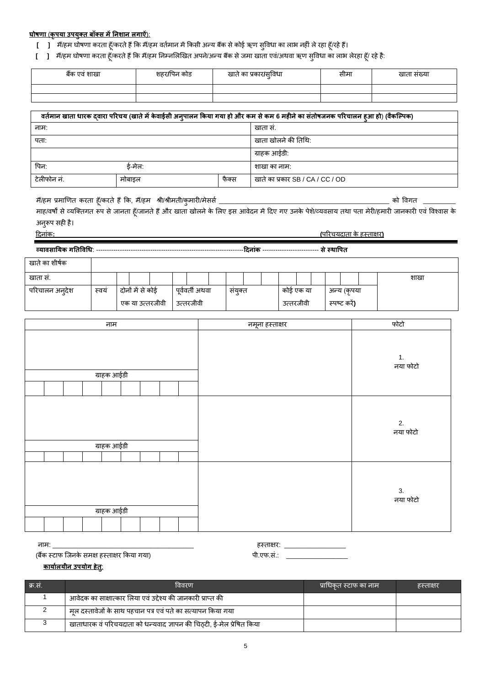## **घोषणा** (**कृपया उपयक्ुत बॉक्स र्ेंननशान लगाऐं**):

- **[ ]** मैं/हम घोषणा करता हूँ/करते हैं कि मैं/हम वर्तमान में किसी अन्य बैंक से कोई ऋण सुविधा का लाभ नहीं ले रहा हूँ/रहे हैं।
- **[ ] गॅ/हम घोषणा करता हूँ/करते हैं कि मैं/हम निम्नलिखित अपने/अन्य बैंक से जमा खाता एवं/अथवा ऋण सुविधा का लाभ लेरहा हूँ/ रहे है:**

| <br>शाखा<br>dich<br>va | शहर/पिन कोड | ंप्रकार/सविधा<br>खात का | सामा | खाता संख्या |
|------------------------|-------------|-------------------------|------|-------------|
|                        |             |                         |      |             |
|                        |             |                         |      |             |

| वर्तमान खाता धारक दवारा परिचय (खाते में केवाईसी अन्पालन किया गया हो और कम से कम 6 महीने का संतोषजनक परिचालन हआ हो) (वैकल्पिक) |          |                     |                                  |  |  |  |  |  |  |  |
|-------------------------------------------------------------------------------------------------------------------------------|----------|---------------------|----------------------------------|--|--|--|--|--|--|--|
| नाम:                                                                                                                          |          | खाता स.             |                                  |  |  |  |  |  |  |  |
| पता:                                                                                                                          |          | खाता खोलने की तिथि: |                                  |  |  |  |  |  |  |  |
|                                                                                                                               |          |                     | ग्राहक आईडी:                     |  |  |  |  |  |  |  |
| पिन:                                                                                                                          | र्ड-मेल: | शाखा का नाम:        |                                  |  |  |  |  |  |  |  |
| टेलीफोन नं.                                                                                                                   | मोबाइल   | फैक्स               | खाते का प्रकार SB / CA / CC / OD |  |  |  |  |  |  |  |

र्/ैंहर् प्रर्ाखणत किता हूूँ/किते हैंकक, र्/ैंहर् श्री/श्रीर्ती/कुर्ािी/र्ेससम \_\_\_\_\_\_\_\_\_\_\_\_\_\_\_\_\_\_\_\_\_\_\_\_\_\_\_\_\_\_\_\_\_\_\_\_\_\_\_\_\_\_\_\_\_\_\_ को ववगत \_\_\_\_\_\_\_\_\_

माह/वर्षों से व्यक्तिगत रूप से जानता हूँ/जानते हैं और खाता खोलने के लिए इस आवेदन में दिए गए उनके पेशे/व्यवसाय तथा पता मेरी/हमारी जानकारी एवं विश्वास के अनरूप सही है।

| <u>Ji i v</u> | $\cdots$ |  |
|---------------|----------|--|
|               |          |  |
| ਾ ਜਾਨ-        |          |  |

दिनांक**: (**परिचयिाता के हसतािि**)** 

**व्यावसानयक गनतपवधि**: --------------------------------------------------------------------**ददनांक** -------------------------- **सेस्थापपत**

| खाते का शीर्षक |      |                  |  |                |       |  |           |  |             |      |
|----------------|------|------------------|--|----------------|-------|--|-----------|--|-------------|------|
| खाता स.        |      |                  |  |                |       |  |           |  |             | शाखा |
| परिचालन अन्देश | स्वय | दोनों में से कोई |  | पर्ववर्ती अथवा | सयक्त |  | कोई एक या |  | अन्य (कपया  |      |
|                |      | एक या उत्तरजीवी  |  | उत्तरजीवी      |       |  | उत्तरजीवी |  | स्पष्ट करे) |      |

| नाम         |  |  |             |  |  |  |  | नमूना हस्ताक्षर | फोटो                       |
|-------------|--|--|-------------|--|--|--|--|-----------------|----------------------------|
| ग्राहक आईडी |  |  |             |  |  |  |  |                 | $\mathbf{1}$ .<br>नया फोटो |
|             |  |  | ग्राहक आईडी |  |  |  |  |                 | 2.<br>नया फोटो             |
|             |  |  | ग्राहक आईडी |  |  |  |  |                 | 3.<br>नया फोटो             |

नार्: \_\_\_\_\_\_\_\_\_\_\_\_\_\_\_\_\_\_\_\_\_\_\_\_\_\_\_\_\_\_\_\_\_\_\_\_\_\_\_ हसतािि: \_\_\_\_\_\_\_\_\_\_\_\_\_\_\_\_\_ (बैंक स्टाफ जिनके समक्ष हस्ताक्षर किया गया)

| 0.500000 |  |
|----------|--|
| ाफ्रम∙   |  |

## **कायामलयीन उपयोग हेत**:**ु**

| .क्र.स. | विवरण                                                                 | ' प्राधिकत स्टॉफ का नाम। | हस्ताक्षर |
|---------|-----------------------------------------------------------------------|--------------------------|-----------|
|         | आवेदक का साक्षात्कार लिया एवं उद्देश्य की जानकारी प्राप्त की          |                          |           |
|         | । मूल दस्तावेजों के साथ पहचान पत्र एवं पते का सत्यापन किया गया        |                          |           |
|         | खाताधारक वं परिचयदाता को धन्यवाद ज्ञापन की चिठ्टी, ई-मेल प्रेषित किया |                          |           |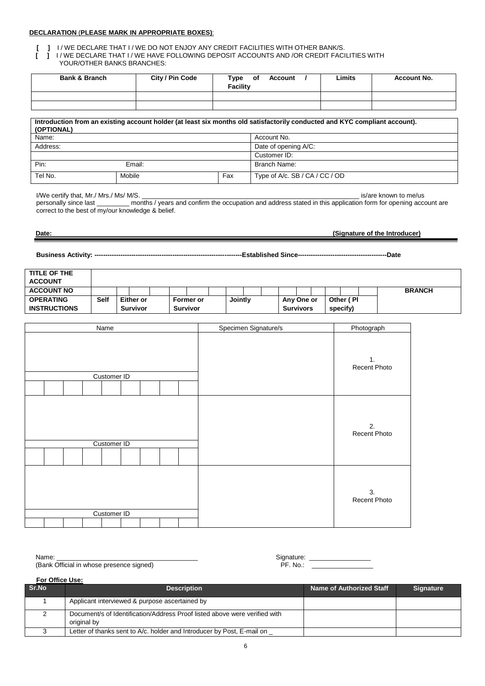#### **DECLARATION** (**PLEASE MARK IN APPROPRIATE BOXES)**:

**[ ] I/WE DECLARE THAT I/WE DO NOT ENJOY ANY CREDIT FACILITIES WITH OTHER BANK/S.**<br>**[ ] I/WE DECLARE THAT I/WE HAVE FOLLOWING DEPOSIT ACCOUNTS AND /OR CREDIT FACI [ ]** I / WE DECLARE THAT I / WE HAVE FOLLOWING DEPOSIT ACCOUNTS AND /OR CREDIT FACILITIES WITH YOUR/OTHER BANKS BRANCHES:

| <b>Bank &amp; Branch</b> | City / Pin Code | Type<br>of<br>Account<br>Facility | ∟imits | <b>Account No.</b> |
|--------------------------|-----------------|-----------------------------------|--------|--------------------|
|                          |                 |                                   |        |                    |
|                          |                 |                                   |        |                    |

| Introduction from an existing account holder (at least six months old satisfactorily conducted and KYC compliant account).<br>(OPTIONAL) |        |     |                                |  |  |  |  |  |  |  |
|------------------------------------------------------------------------------------------------------------------------------------------|--------|-----|--------------------------------|--|--|--|--|--|--|--|
| Name:                                                                                                                                    |        |     | Account No.                    |  |  |  |  |  |  |  |
| Address:                                                                                                                                 |        |     | Date of opening A/C:           |  |  |  |  |  |  |  |
|                                                                                                                                          |        |     | Customer ID:                   |  |  |  |  |  |  |  |
| Pin:                                                                                                                                     | Email: |     | Branch Name:                   |  |  |  |  |  |  |  |
| Tel No.                                                                                                                                  | Mobile | Fax | Type of A/c. SB / CA / CC / OD |  |  |  |  |  |  |  |

I/We certify that, Mr./ Mrs./ Ms/ M/S. \_\_\_\_\_\_\_\_\_\_\_\_\_\_\_\_\_\_\_\_\_\_\_\_\_\_\_\_\_\_\_\_\_\_\_\_\_\_\_\_\_\_\_\_\_\_\_\_\_\_\_\_\_\_\_\_\_\_\_\_ is/are known to me/us

personally since last \_\_\_\_\_\_\_\_\_ months / years and confirm the occupation and address stated in this application form for opening account are correct to the best of my/our knowledge & belief.

#### **Date: (Signature of the Introducer)**

**Business Activity: --------------------------------------------------------------------Established Since-----------------------------------------Date**

| TITLE OF THE        |             |                  |          |           |         |  |                  |  |            |               |
|---------------------|-------------|------------------|----------|-----------|---------|--|------------------|--|------------|---------------|
| <b>ACCOUNT</b>      |             |                  |          |           |         |  |                  |  |            |               |
| <b>ACCOUNT NO</b>   |             |                  |          |           |         |  |                  |  |            | <b>BRANCH</b> |
| <b>OPERATING</b>    | <b>Self</b> | <b>Either or</b> |          | Former or | Jointly |  | Any One or       |  | Other (PI) |               |
| <b>INSTRUCTIONS</b> |             | <b>Survivor</b>  | Survivor |           |         |  | <b>Survivors</b> |  | specify)   |               |

| Name        | Specimen Signature/s | Photograph         |
|-------------|----------------------|--------------------|
| Customer ID |                      | 1.<br>Recent Photo |
| Customer ID |                      | 2.<br>Recent Photo |
| Customer ID |                      | 3.<br>Recent Photo |

Name: \_\_\_\_\_\_\_\_\_\_\_\_\_\_\_\_\_\_\_\_\_\_\_\_\_\_\_\_\_\_\_\_\_\_\_\_\_\_\_ Signature: \_\_\_\_\_\_\_\_\_\_\_\_\_\_\_\_\_ (Bank Official in whose presence signed)

**For Office Use:** 

| Sr.No | <b>Description</b>                                                                        | Name of Authorized Staff | <b>Signature</b> |
|-------|-------------------------------------------------------------------------------------------|--------------------------|------------------|
|       | Applicant interviewed & purpose ascertained by                                            |                          |                  |
|       | Document/s of Identification/Address Proof listed above were verified with<br>original by |                          |                  |
|       | Letter of thanks sent to A/c. holder and Introducer by Post, E-mail on                    |                          |                  |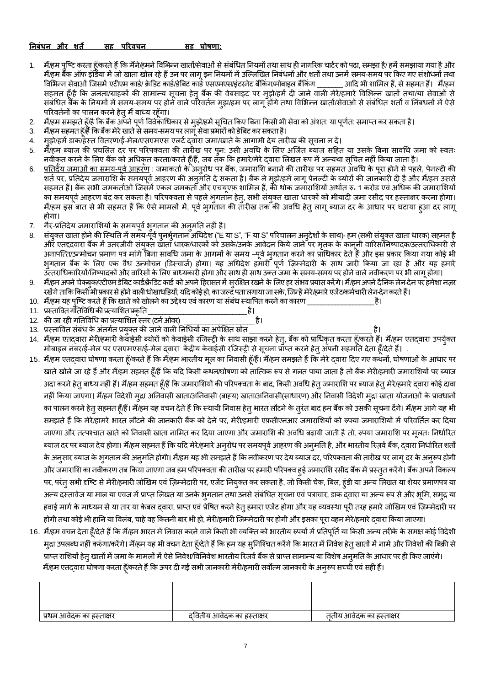**ननबंिन और शते सह पररवचन सह घोषणा:**

- 1. मैं/हम पुष्टि करता हूँ/करते हैं कि मैंने/हमने विभिन्न खातों/सेवाओं से संबंधित नियमों तथा साथ ही नागरिक चार्टर को पढ़ा, समझा है/ हमें समझाया गया है और *मैं/हम* बैंक ऑफ इंडिया में जो खाता खोल रहे हैं उन पर लागू इन नियमों में उल्लिखित निबंधनों और शर्तों तथा उनमें समय-समय पर किए गए संशोधनों तथा<br>विभिन्न सेवाओं जिसमें एटीएम कार्ड/ क्रेडिट कार्ड/डेबिट कार्ड एसएमएस/इंटरनेट बैं विभिन्न सेवाओं जिसमें एटीएम कार्ड/ क्रेडिट कार्ड/डेबिट कार्ड एसएमएस/इंटरनेट बैंकिंग/मोबाइल बैंकिंग \_ सहमत हूँ/है कि जनता/ग्राहकों की सामान्य सूचना हेतु बैंक की वेबसाइट पर मुझे/हमें दी जाने वाली मेरे/हमारे विभिन्न खातों तथा/या सेवाओं से संबंधित बैंक के नियमों में समय-समय पर होने वाले परिवर्तन मुझ/हम पर लागू होंगे तथा विभिन्न खातों/सेवाओं से संबंधित शर्तों व निंबधनों में ऐसे परिवर्तनों का पालन करने हेतु मैं बाध्य रहँगा।
- 2. मैं/हम समझते हूँ/है कि बैंक अपने पूर्ण विवेकाधिकार से मुझे/हमें सूचित किए बिना किसी भी सेवा को अंशत: या पूर्णत: समाप्त कर सकता है।<br>3. मैं/हम सहमत हँ/हैं कि बैंक मेरे खाते से समय-समय पर लाग सेवा प्रभारों को डेबि
- 3. मैं/हम सहमत हूँ/हैं कि बैंक मेरे खाते से समय-समय पर लागू सेवा प्रभारों को डेबिट कर सकता है।<br>4. मझे/हमें डाक/हस्त वितरण/र्ड-मेल/एसएमएस एलर्ट दवारा जमा/खाते के आगामी देय तार्र
- म्झे/हमें डाक/हेस्त वितरण/ई-मेल/एसएमएस एलर्ट दवारा जमा/खाते के आगामी देय तारीख की सूचना न दें।
- 5. मैँ/हम ब्याज की प्रचलित दर पर परिपक्वता की तारीख पर पुन: उसी अवधि के लिए अर्जित ब्याज सहित या उसके बिना सावधि जमा को स्वतः नवीकृत करने के लिए बैंक को अधिकृत करता/करते हूँ/हैं, जब तक कि हमारे/मेरे दवारा लिखत रूप में अन्यथा सूचित नहीं किया जाता है।
- 6. <u>प्रतिर्देय जमाओं का समय-पूर्व आहरण</u> : जमाकर्ता के अनुरोध पर बैंक, जमाराशि बनाने की तारीख पर सहमत अवधि के पूरा होने से पहले, पेनल्टी की शर्त पर, प्रतिदेय जमाराशि के समयपूर्व आहरण की अन्**मति दे सकता है। बैंक ने म्**झे/हमें लागू पेनल्टी के ब्योरों की जानकारी दी है और मैं/हम उससे सहमत हैं। बैंक सभी जमकर्ताओं जिसमें एकल जमकर्ता और एचयूएफ़ शामिल हैं, की थोक जमाराशियों अर्थात रु॰ 1 करोड़ एवं अधिक की जमाराशियों का समयपूर्व आहरण बंद कर सकता है। परिपक्वता से पहले भुगतान हेतु, सभी संयुक्त खाता धारकों को मीयादी जमा रसीद पर हस्ताक्षर करना होगा। मैं/हम इस बात से भी सहमत हैं कि ऐसे मामलों में, पूर्व भुगतान की तारीख तक की अवधि हेतु लागू ब्याज दर के आधार पर घटाया हुआ दर लागू होगा।
- 7. गैर-प्रतिदेय जमाराशियों के समयपूर्व भुगतान की अनुमति नहीं है।<br>8 संयक्त खाता होने की स्थिति में समय-पर्व पनर्भगतान अधिदेश ("F न
- संयक्त खाता होने की स्थिति में समय-पूर्व पनर्भगतान अधिदेश ("E या S", "F या S" परिचालन अनदेशों के साथ)- हम (सभी संयक्त खाता धारक) सहमत है और एतद्दवारा बैंक में उतरजीवी संयुक्त खाता धारक/धारकों को उसके/उनके आवेदन किये जाने पर मृतक के कानूनी वारिस/निष्पादक/उत्तराधिकारी से अनापत्ति/उन्मोचन प्रमाण पत्र मांगे बिना सावधि जमा के आगमों के समय –पर्व भगतान करने का प्राधिकार देते हैं और इस प्रकार किया गया कोई भी भुगतान बैंक के लिए एक वैध उन्मोचन (डिस्चार्ज) होगा। यह अधिदेश हमारी पूर्ण ज़िम्मेदारी के साथ जारी किया जा रहा है और यह हमारे उत्तराधिकारियों/निष्पादकों और वारिसों के लिए बाध्यकारी होगा और साथ ही साथ उक्त जमा के समय-समय पर होने वाले नवीकरण पर भी लागू होगा।
- 9. मैं/हम अपने चेकबुक/एटीएम डेबिट कार्ड/क्रेडिट कार्ड को अपने हिरासत में सुरक्षित रखने के लिए हर संभव परमात संग्राम करेंगे। मैं/हम अपने दैनिक लेन-देन पर हमेशा नज़र रखेंगे ताकि किसी भी प्रकार से होने वाली धोखाधड़ियों, यदि कोई हो, का जल्द पता लगाया जा सके, जिन्हें मेरे/हमारे एजेंट/कर्मचारी लेन-देन करते हैं।

10. मैं/हम यह पुष्टि करते हैं कि खाते को खोलने का उद्देश्य एवं कारण या संबंध स्थापित करने का कारण \_<br>11. प्रस्तावित गतिविधि की प्रत्याशित प्रकति

11. प्रसताववतगनतववधिकीप्रत्याभशतप्रकृनत\_\_\_\_\_\_\_\_\_\_\_\_\_\_\_\_\_\_\_\_\_\_\_\_\_\_\_\_है। 12. की जा रही गतिविधि का प्रत्याशित स्तर (टर्न ओवर)

13. प्रसताववत संबंि के अंतगमत प्रयुक्त की जानेवाली ननधियों का अपेक्षित स्रोत \_\_\_\_\_\_\_\_\_\_\_\_\_\_\_\_\_\_\_\_\_\_\_\_\_\_\_\_\_\_ है।

14. मैं/हम एतद्वारा मेरी/हमारी केवाईसी ब्योरों को केवाईसी रजिस्ट्री के साथ साझा करने हेत्, बैंक को प्राधिकृत करता हूँ/करते हैं। मैं/हम एतद्वारा उपर्युक्त . मोबाइल नंबर/ई-मेल पर एसएमएस/ई-मेल दवारा केंद्रीय केवाईसी रजिस्ट्री से सूचना प्रॉप्त करने हेत् अपनी सहमति देता हूँ/देते हैं। .

- 15. *मैं/हम एत*दवारा घोषणा करता हूँ/करते हैं कि मैं/हम भारतीय मूल का निवासी हूँ/हैं। मैं/हम समझते हैं कि मेरे दवारा दिए गए कथनों, घोषणाओं के आधार पर खाते खोले जा रहे हैं और मैं/हम सहमत हूँ/हैं कि यदि किसी कथन/घोषणा को तात्विक रूप से गलत पाया जाता है तो बैंक मेरी/हमारी जमाराशियों पर ब्याज अदा करने हेत् बाध्य नहीं हैं। मैं/हम सहमत हूँ/हैं कि जमाराशियों की परिपक्वता के बाद, किसी अवधि हेतु जमाराशि पर ब्याज हेतु मेरे/हमारे द्वारा कोई दावा नहीं किया जाएगा। मैं/हम विदेशी मुद्रा अनिवासी खाता/अनिवासी (बाहय) खाता/अनिवासी(साधारण) और निवासी विदेशी मुद्रा खाता योजनाओं के प्रावधानों का पालन करने हेत् सहमत हूँ/हैं। मैं/हम यह वचन देते हैं कि स्थायी निवास हेत् भारत लौटने के तुरंत बाद हम बैंक को उसकी सूचना देंगे। मैं/हम आगे यह भी समझते हैं कि मेरे/हामरे भारत लौटने की जानकारी बैंक को देने पर, मेरी/हमारी एफ़सीएनआर जमाराशियों को रुपया जमाराशियों में परिवर्तित कर दिया जाएगा और तत्पश्चात खाते को निवासी खाता नामित कर दिया जाएगा और जमाराशि की अवधि बढ़ायी जाती है तो, रुपया जमाराशि पर मलतः निर्धारित ब्याज दर पर ब्याज देय होगा। मैं/हम सहमत हैं कि यदि मेरे/हमारे अनुरोध पर समयपूर्व आहरण की अनुमति है, और भारतीय रिज़र्व बैंक, द्वारा निर्धारित शर्तों के अनुसार ब्याज के भुगतान की अनुमति होगी। मैं/हम यह भी समझते हैं कि नवीकरण पर देय ब्याज दर, परिपक्वता की तारीख पर लागू दर के अनुरूप होगी और जमाराशि का नवीकरण तब किया जाएगा जब हम परिपक्वता की तारीख पर हमारी परिपक्व हुई जमाराशि रसीद बैंक में प्रस्तुत करेंगे। बैंक अपने विकल्प पर, परंतु सभी दृष्टि से मेरी/हमारी जोखिम एवं ज़िम्मेदारी पर, एजेंट नियुक्त कर सकता है, जो किसी चेक, बिल, हुंडी या अन्य लिखत या शेयर प्रमाणपत्र या अन्य दस्तावेज या माल या एवज में प्राप्त लिखत या उनके भ्**गतान तथा उनसे संबंधित सूचना एवं पत्राचार**, डाक द्**वारा या अन्य रूप से और भूमि, सम्**द्र या हवाई मार्ग के माध्यम से या तार या केबल द्वारा, प्राप्त एवं प्रेषित करने हेतु हमारा एजेंट होगा और यह व्यवस्था पूरी तरह हमारे जोखिम एवं ज़िम्मेदारी पर होगी तथा कोई भी हानि या विलंब, चाहे वह कितनी बार भी हो, मेरी/हमारी जिम्मेदारी पर होगी और इसका पूरा वहन मेरे/हमारे द्वारा किया जाएगा।
- 16. मैं/हम वचन देता हूँ/देते हैं कि मैं/हम भारत में निवास करने वाले किसी भी व्यक्ति को भारतीय रुपयों में प्रतिपूर्ति या किसी अन्य तरीके के समक्ष कोई विदेशी मुद्रा उपलब्ध नहीं करुंगा/करेंगे। मैं/हम यह भी वचन देता हूँ/देते हैं कि हम यह सुनिश्चित करेंगे कि भारत में निवेश हेतु खातों में नामे और निवेशों की बिक्री से प्राप्त राशियों हेतु खातों में जमा के मामलों में ऐसे निवेश/विनिवेश भारतीय रिजर्व बैंक से प्राप्त सामान्य या विशेष अनुमति के आधार पर ही किए जाएंगे। मैं/हम एतद्वारा घोषणा करता हूँ/करते हैं कि ऊपर दी गई सभी जानकारी मेरी/हमारी सर्वोत्म जानकारी के अनुरूप सच्ची एवं सही हैं।

| । प्रथम आवेदक का हस्ताक्षर | दवितीय आवेदक का हस्ताक्षर | तृतीय आवेदक का हस्ताक्षर |
|----------------------------|---------------------------|--------------------------|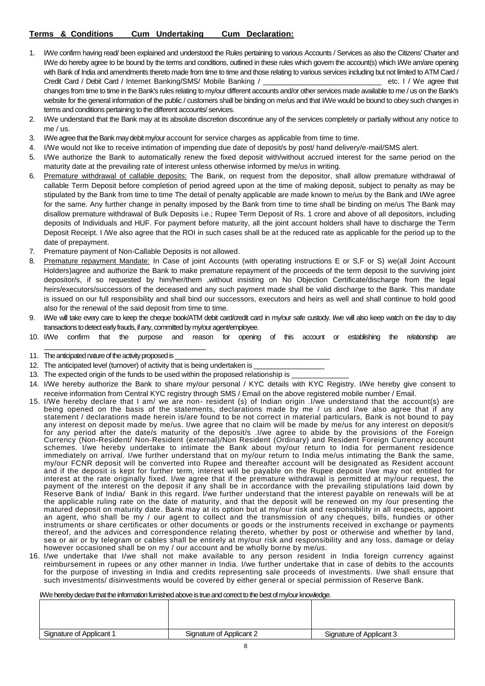- 1. I/We confirm having read/ been explained and understood the Rules pertaining to various Accounts / Services as also the Citizens' Charter and I/We do hereby agree to be bound by the terms and conditions, outlined in these rules which govern the account(s) which I/We am/are opening with Bank of India and amendments thereto made from time to time and those relating to various services including but not limited to ATM Card / Credit Card / Debit Card / Internet Banking/SMS/ Mobile Banking / \_\_\_\_\_\_\_\_\_\_\_\_\_\_\_\_\_\_\_\_\_\_\_\_\_\_\_\_\_ etc. I / We agree that changes from time to time in the Bank's rules relating to my/our different accounts and/or other services made available to me / us on the Bank's website for the general information of the public / customers shall be binding on me/us and that I/We would be bound to obey such changes in terms and conditions pertaining to the different accounts/ services.
- 2. I/We understand that the Bank may at its absolute discretion discontinue any of the services completely or partially without any notice to me / us.
- 3. I/We agree that the Bank may debit my/our account for service charges as applicable from time to time.
- 4. I/We would not like to receive intimation of impending due date of deposit/s by post/ hand delivery/e-mail/SMS alert.
- 5. I/We authorize the Bank to automatically renew the fixed deposit with/without accrued interest for the same period on the maturity date at the prevailing rate of interest unless otherwise informed by me/us in writing.
- 6. Premature withdrawal of callable deposits: The Bank, on request from the depositor, shall allow premature withdrawal of callable Term Deposit before completion of period agreed upon at the time of making deposit, subject to penalty as may be stipulated by the Bank from time to time The detail of penalty applicable are made known to me/us by the Bank and I/We agree for the same. Any further change in penalty imposed by the Bank from time to time shall be binding on me/us The Bank may disallow premature withdrawal of Bulk Deposits i.e.; Rupee Term Deposit of Rs. 1 crore and above of all depositors, including deposits of Individuals and HUF. For payment before maturity, all the joint account holders shall have to discharge the Term Deposit Receipt. I /We also agree that the ROI in such cases shall be at the reduced rate as applicable for the period up to the date of prepayment.
- 7. Premature payment of Non-Callable Deposits is not allowed.
- 8. Premature repayment Mandate: In Case of joint Accounts (with operating instructions E or S,F or S) we(all Joint Account Holders)agree and authorize the Bank to make premature repayment of the proceeds of the term deposit to the surviving joint depositor/s, if so requested by him/her/them ,without insisting on No Objection Certificate/discharge from the legal heirs/executors/successors of the deceased and any such payment made shall be valid discharge to the Bank. This mandate is issued on our full responsibility and shall bind our successors, executors and heirs as well and shall continue to hold good also for the renewal of the said deposit from time to time.
- 9. IWe will take every care to keep the cheque book/ATM debit card/credit card in my/our safe custody. I/we will also keep watch on the day to day transactions to detect early frauds, if any, committed by my/our agent/employee.
- 10. I/We confirm that the purpose and reason for opening of this account or establishing the relationship are \_\_\_\_\_\_\_\_\_\_\_\_\_\_\_\_\_\_\_\_\_\_\_\_\_\_\_\_\_\_\_\_\_\_\_\_\_\_\_\_\_\_\_\_\_\_

- 13. The expected origin of the funds to be used within the proposed relationship is
- 14. I/We hereby authorize the Bank to share my/our personal / KYC details with KYC Registry. I/We hereby give consent to receive information from Central KYC registry through SMS / Email on the above registered mobile number / Email.
- 15. I/We hereby declare that I am/ we are non- resident (s) of Indian origin .I/we understand that the account(s) are being opened on the basis of the statements, declarations made by me / us and I/we also agree that if any statement / declarations made herein is/are found to be not correct in material particulars, Bank is not bound to pay any interest on deposit made by me/us. I/we agree that no claim will be made by me/us for any interest on deposit/s for any period after the date/s maturity of the deposit/s .I/we agree to abide by the provisions of the Foreign Currency (Non-Resident/ Non-Resident (external)/Non Resident (Ordinary) and Resident Foreign Currency account schemes. I/we hereby undertake to intimate the Bank about my/our return to India for permanent residence immediately on arrival. I/we further understand that on my/our return to India me/us intimating the Bank the same, my/our FCNR deposit will be converted into Rupee and thereafter account will be designated as Resident account and if the deposit is kept for further term, interest will be payable on the Rupee deposit I/we may not entitled for interest at the rate originally fixed. I/we agree that if the premature withdrawal is permitted at my/our request, the payment of the interest on the deposit if any shall be in accordance with the prevailing stipulations laid down by Reserve Bank of India/ Bank in this regard. I/we further understand that the interest payable on renewals will be at the applicable ruling rate on the date of maturity, and that the deposit will be renewed on my /our presenting the matured deposit on maturity date. Bank may at its option but at my/our risk and responsibility in all respects, appoint an agent, who shall be my / our agent to collect and the transmission of any cheques, bills, hundies or other instruments or share certificates or other documents or goods or the instruments received in exchange or payments thereof, and the advices and correspondence relating thereto, whether by post or otherwise and whether by land, sea or air or by telegram or cables shall be entirely at my/our risk and responsibility and any loss, damage or delay however occasioned shall be on my / our account and be wholly borne by me/us.
- 16. I/we undertake that I/we shall not make available to any person resident in India foreign currency against reimbursement in rupees or any other manner in India. I/we further undertake that in case of debits to the accounts for the purpose of investing in India and credits representing sale proceeds of investments. I/we shall ensure that such investments/ disinvestments would be covered by either general or special permission of Reserve Bank.

#### I/We hereby declare that the information furnished above is true and correct to the best of my/our knowledge.

| Signature of Applicant 1 | Signature of Applicant 2 | Signature of Applicant 3 |
|--------------------------|--------------------------|--------------------------|

<sup>11.</sup> The anticipated nature of the activity proposed is

<sup>12.</sup> The anticipated level (turnover) of activity that is being undertaken is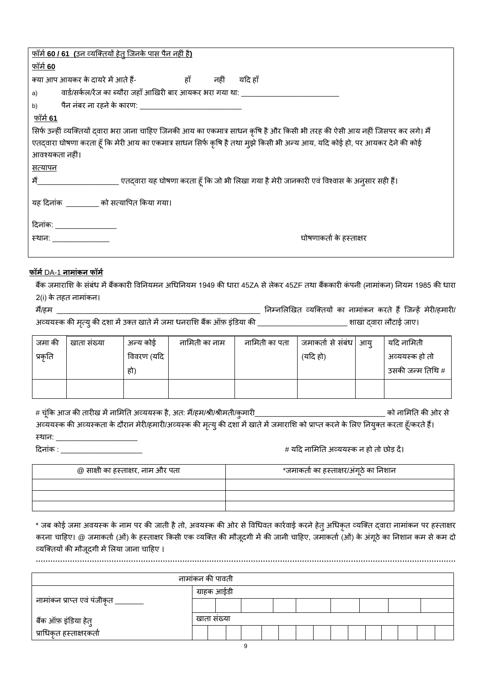| <u>फॉर्म 60 / 61 (उन व्यक्तियों हेतू जिनके पास पैन नहीं है)</u>                                                               |
|-------------------------------------------------------------------------------------------------------------------------------|
| फॉर्म <b>60</b>                                                                                                               |
|                                                                                                                               |
| वार्ड/सर्कल/रेंज का ब्यौरा जहाँ आखिरी बार आयकर भरा गया था: _____________________<br>a)                                        |
| पैन नंबर ना रहने के कारण: _____________________________<br>b)                                                                 |
| <u>फॉर्म 61</u>                                                                                                               |
| सिर्फ उन्हीं व्यक्तियों दवारा भरा जाना चाहिए जिनकी आय का एकमात्र साधन कृषि है और किसी भी तरह की ऐसी आय नहीं जिसपर कर लगे। मैं |
| एतद्वारा घोषणा करता हूँ कि मेरी आय का एकमात्र साधन सिर्फ कृषि है तथा मुझे किसी भी अन्य आय, यदि कोई हो, पर आयकर देने की कोई    |
| आवश्यकता नहीं।                                                                                                                |
| <u>सत्यापन</u>                                                                                                                |
|                                                                                                                               |
| यह दिनांक खाड़ को सत्यापित किया गया।                                                                                          |
| <u>दिनांकः ________________</u>                                                                                               |
| घोषणाकर्ता के हस्ताक्षर<br>स्थान: _______________                                                                             |
|                                                                                                                               |

# **फॉर्म**DA-1 **नार्ांकन फॉर्म**

बैंक जमाराशि के संबंध में बैंककारी विनियमन अधिनियम 1949 की धारा 45ZA से लेकर 45ZF तथा बैंककारी कंपनी (नामांकन) नियम 1985 की धारा 2(i) के तहत नार्ांकन।

र्ैं/हर् \_\_\_\_\_\_\_\_\_\_\_\_\_\_\_\_\_\_\_\_\_\_\_\_\_\_\_\_\_\_\_\_\_\_\_\_\_\_\_\_\_\_\_\_\_\_\_\_\_\_ ननम्नभलखखत व्यलक्तयों का नार्ांकन किते हैंलजन्हें र्ेिी/हर्ािी/

अव्ययस्क की मृत्यु की दशा में उक्त खाते में जमा धनराशि बैंक ऑफ़ इंडिया की \_\_\_\_\_\_\_\_\_\_\_\_\_\_\_\_\_\_\_\_\_\_\_\_\_\_\_ शाखा दवारा लौटाई जाए।

| जमा की  | खाता संख्या | अन्य कोई   | नामिती का नाम | नामिती का पता | जमाकर्ता से संबंध  आय् | यदि नामिती       |
|---------|-------------|------------|---------------|---------------|------------------------|------------------|
| प्रकृति |             | विवरण (यदि |               |               | (यदि हो)               | अव्ययस्क हो तो   |
|         |             | हो)        |               |               |                        | उसकी जन्म तिथि # |
|         |             |            |               |               |                        |                  |

# चूंकक आज की तािीख र्ेंनाभर्नत अव्ययसक है, अत: र्ैं/हर्/श्री/श्रीर्ती/कुर्ािी\_\_\_\_\_\_\_\_\_\_\_\_\_\_\_\_\_\_\_\_\_\_\_\_\_\_\_\_\_\_\_\_ को नाभर्नत की ओि से अव्ययस्क की अव्यस्कता के दौरान मेरी/हमारी/अव्यस्क की मृत्यु की दशा में खाते में जमाराशि को प्राप्त करने के लिए नियुक्त करता हूँ/करते हैं। स्थान: \_\_\_\_\_\_\_\_\_\_\_\_\_\_\_\_\_\_\_\_\_\_\_\_\_ दिनांक : \_\_\_\_\_\_\_\_\_\_\_\_\_\_\_\_\_\_\_\_ # यदि नाभर्नत अव्ययसक न हो तो छोड़ िें।

| @ साक्षी का हस्ताक्षर, नाम और पता | *जमाकर्ता का हस्ताक्षर/अंगूठे का निशान |
|-----------------------------------|----------------------------------------|
|                                   |                                        |
|                                   |                                        |
|                                   |                                        |

\* जब कोई जमा अवयस्क के नाम पर की जाती है तो, अवयस्क की ओर से विधिवत कार्रवाई करने हेतु अधिकृत व्यक्ति द्वारा नामांकन पर हस्ताक्षर करना चाहिए। @ जमाकर्ता (ओं) के हस्ताक्षर किसी एक व्यक्ति की मौजूदगी में की जानी चाहिए, जमाकर्ता (ओं) के अंगूठे का निशान कम से कम दो व्यक्तियों की मौजूदगी में लिया जाना चाहिए । **……………………………………………………………………………………………………………………………………………………….**

| नामांकन की पावती                                               |             |  |  |  |  |  |  |  |  |  |  |  |  |  |  |
|----------------------------------------------------------------|-------------|--|--|--|--|--|--|--|--|--|--|--|--|--|--|
|                                                                | ग्राहक आईडी |  |  |  |  |  |  |  |  |  |  |  |  |  |  |
| नामांकन प्राप्त एवं पंजीकृत ________                           |             |  |  |  |  |  |  |  |  |  |  |  |  |  |  |
|                                                                | खाता संख्या |  |  |  |  |  |  |  |  |  |  |  |  |  |  |
| <sup>'</sup> बैंक ऑफ़ इंडिया हेतु<br>'प्राधिकृत हस्ताक्षरकर्ता |             |  |  |  |  |  |  |  |  |  |  |  |  |  |  |